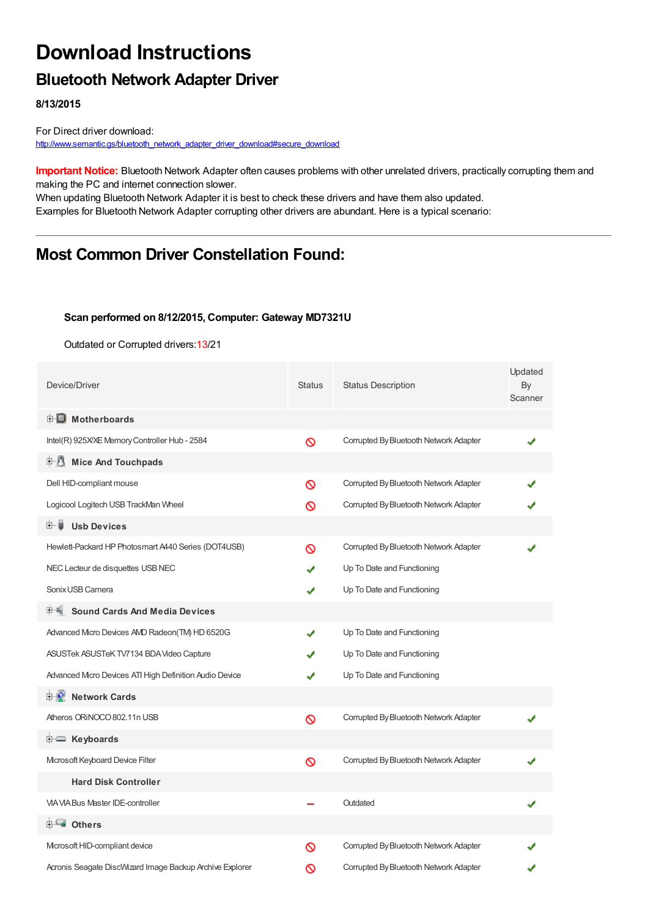# **Download Instructions**

### **Bluetooth Network Adapter Driver**

**8/13/2015**

For Direct driver download: [http://www.semantic.gs/bluetooth\\_network\\_adapter\\_driver\\_download#secure\\_download](http://www.semantic.gs/bluetooth_network_adapter_driver_download#secure_download)

**Important Notice:** Bluetooth Network Adapter often causes problems with other unrelated drivers, practically corrupting them and making the PC and internet connection slower.

When updating Bluetooth Network Adapter it is best to check these drivers and have them also updated. Examples for Bluetooth Network Adapter corrupting other drivers are abundant. Here is a typical scenario:

## **Most Common Driver Constellation Found:**

#### **Scan performed on 8/12/2015, Computer: Gateway MD7321U**

Outdated or Corrupted drivers:13/21

| Device/Driver                                            | <b>Status</b> | <b>Status Description</b>              | Updated<br>By<br>Scanner |
|----------------------------------------------------------|---------------|----------------------------------------|--------------------------|
| <b>E</b> Motherboards                                    |               |                                        |                          |
| Intel(R) 925X/XE Memory Controller Hub - 2584            | Ø             | Corrupted By Bluetooth Network Adapter |                          |
| <b>Mice And Touchpads</b><br>E-11                        |               |                                        |                          |
| Dell HID-compliant mouse                                 | ര             | Corrupted By Bluetooth Network Adapter |                          |
| Logicool Logitech USB TrackMan Wheel                     | ര             | Corrupted By Bluetooth Network Adapter |                          |
| <b>Usb Devices</b><br>⊞… ■                               |               |                                        |                          |
| Hewlett-Packard HP Photosmart A440 Series (DOT4USB)      | ര             | Corrupted By Bluetooth Network Adapter |                          |
| NEC Lecteur de disquettes USB NEC                        |               | Up To Date and Functioning             |                          |
| Sonix USB Camera                                         | ✔             | Up To Date and Functioning             |                          |
| <b>Sound Cards And Media Devices</b>                     |               |                                        |                          |
| Advanced Micro Devices AVD Radeon(TM) HD 6520G           | ✔             | Up To Date and Functioning             |                          |
| ASUSTek ASUSTeK TV7134 BDA Video Capture                 | J             | Up To Date and Functioning             |                          |
| Advanced Micro Devices ATI High Definition Audio Device  | ✔             | Up To Date and Functioning             |                          |
| <b>D</b> Network Cards                                   |               |                                        |                          |
| Atheros ORINOCO 802.11n USB                              | Ø             | Corrupted By Bluetooth Network Adapter |                          |
| <b>E</b> Keyboards                                       |               |                                        |                          |
| Microsoft Keyboard Device Filter                         | Ø             | Corrupted By Bluetooth Network Adapter |                          |
| <b>Hard Disk Controller</b>                              |               |                                        |                          |
| <b>VIA VIA Bus Master IDE-controller</b>                 |               | Outdated                               |                          |
| <b>⊞-≞∎ Others</b>                                       |               |                                        |                          |
| Mcrosoft HID-compliant device                            | ര             | Corrupted By Bluetooth Network Adapter |                          |
| Acronis Seagate DiscWizard Image Backup Archive Explorer | ଷ             | Corrupted By Bluetooth Network Adapter |                          |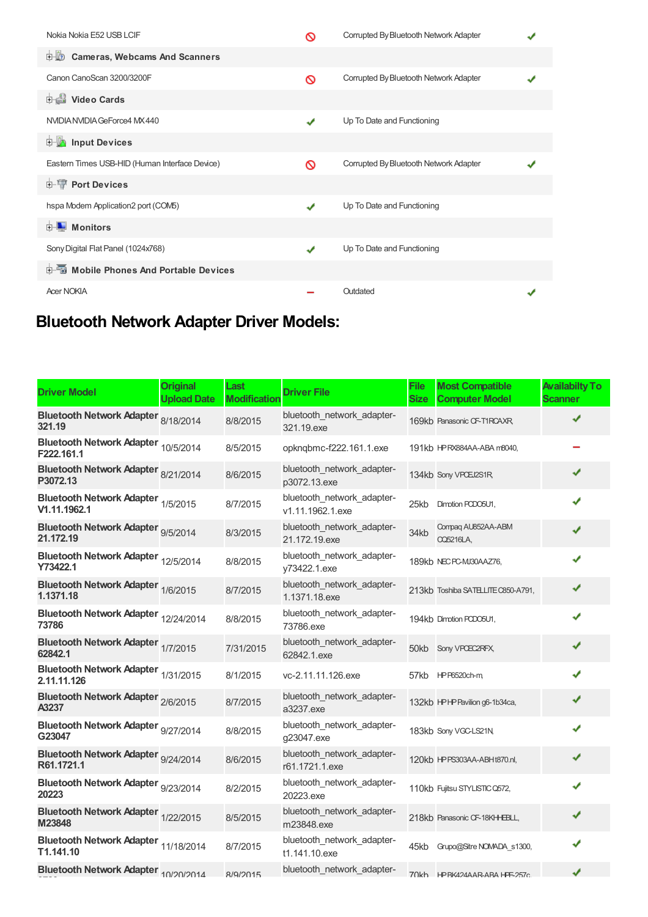| Nokia Nokia E52 USB LCIF                       |   | Corrupted By Bluetooth Network Adapter |  |
|------------------------------------------------|---|----------------------------------------|--|
| <b>D</b> Cameras, Webcams And Scanners         |   |                                        |  |
| Canon CanoScan 3200/3200F                      | ര | Corrupted By Bluetooth Network Adapter |  |
| Video Cards                                    |   |                                        |  |
| NVIDIA NVIDIA GeForce4 MX 440                  | J | Up To Date and Functioning             |  |
| <b>E</b> Input Devices                         |   |                                        |  |
| Eastern Times USB-HID (Human Interface Device) | ര | Corrupted By Bluetooth Network Adapter |  |
| <b>E-W</b> Port Devices                        |   |                                        |  |
| hspa Modem Application2 port (COM5)            | ✔ | Up To Date and Functioning             |  |
| $\blacksquare$ Monitors<br>中-                  |   |                                        |  |
| Sony Digital Flat Panel (1024x768)             | J | Up To Date and Functioning             |  |
| <b>E-5</b> Mobile Phones And Portable Devices  |   |                                        |  |
| <b>Acer NOKIA</b>                              |   | Outdated                               |  |

## **Bluetooth Network Adapter Driver Models:**

| <b>Driver Model</b>                                | <b>Original</b><br><b>Upload Date</b> | Last<br><b>Modification</b> | <b>Driver File</b>                             | <b>File</b><br><b>Size</b> | <b>Most Compatible</b><br><b>Computer Model</b> | <b>Availabilty To</b><br><b>Scanner</b> |
|----------------------------------------------------|---------------------------------------|-----------------------------|------------------------------------------------|----------------------------|-------------------------------------------------|-----------------------------------------|
| Bluetooth Network Adapter 8/18/2014<br>321.19      |                                       | 8/8/2015                    | bluetooth_network_adapter-<br>321.19.exe       |                            | 169kb Panasonic CF-T1RCAXR                      |                                         |
| Bluetooth Network Adapter 10/5/2014<br>F222.161.1  |                                       | 8/5/2015                    | opknqbmc-f222.161.1.exe                        |                            | 191kb HPRX884AA-ABA m8040,                      |                                         |
| Bluetooth Network Adapter 8/21/2014<br>P3072.13    |                                       | 8/6/2015                    | bluetooth network adapter-<br>p3072.13.exe     |                            | 134kb Sony VPCEJ2S1R,                           | ✔                                       |
| Bluetooth Network Adapter 1/5/2015<br>V1.11.1962.1 |                                       | 8/7/2015                    | bluetooth network adapter-<br>v1.11.1962.1.exe | 25kb                       | Dimotion PCDO5U1,                               | J                                       |
| Bluetooth Network Adapter 9/5/2014<br>21.172.19    |                                       | 8/3/2015                    | bluetooth_network_adapter-<br>21.172.19.exe    | 34kb                       | Compag AU852AA-ABM<br><b>CQ5216LA,</b>          | ✔                                       |
| Bluetooth Network Adapter 12/5/2014<br>Y73422.1    |                                       | 8/8/2015                    | bluetooth_network_adapter-<br>y73422.1.exe     |                            | 189kb NEC PC-MJ30AAZ76,                         | ✔                                       |
| Bluetooth Network Adapter 1/6/2015<br>1.1371.18    |                                       | 8/7/2015                    | bluetooth_network_adapter-<br>1.1371.18.exe    |                            | 213kb Toshiba SATELITE C850-A791,               | ✔                                       |
| Bluetooth Network Adapter 12/24/2014<br>73786      |                                       | 8/8/2015                    | bluetooth_network_adapter-<br>73786.exe        |                            | 194kb Dimotion PCDO5U1,                         | J                                       |
| Bluetooth Network Adapter 1/7/2015<br>62842.1      |                                       | 7/31/2015                   | bluetooth network adapter-<br>62842.1.exe      |                            | 50kb Sony VPCEC2RFX,                            | ✔                                       |
| Bluetooth Network Adapter 1/31/2015<br>2.11.11.126 |                                       | 8/1/2015                    | vc-2.11.11.126.exe                             |                            | 57kb HPP6520ch-m                                | ✔                                       |
| Bluetooth Network Adapter 2/6/2015<br>A3237        |                                       | 8/7/2015                    | bluetooth_network_adapter-<br>a3237.exe        |                            | 132kb HPHP Pavilion g6-1b34ca,                  | ✔                                       |
| Bluetooth Network Adapter 9/27/2014<br>G23047      |                                       | 8/8/2015                    | bluetooth_network_adapter-<br>g23047.exe       |                            | 183kb Sony VGC-LS21N,                           | ✔                                       |
| Bluetooth Network Adapter 9/24/2014<br>R61.1721.1  |                                       | 8/6/2015                    | bluetooth_network_adapter-<br>r61.1721.1.exe   |                            | 120kb HPPS303AA-ABHt870.nl,                     | ✔                                       |
| Bluetooth Network Adapter 9/23/2014<br>20223       |                                       | 8/2/2015                    | bluetooth_network_adapter-<br>20223.exe        |                            | 110kb Fujitsu STYLISTIC Q572,                   | ✔                                       |
| Bluetooth Network Adapter 1/22/2015<br>M23848      |                                       | 8/5/2015                    | bluetooth_network_adapter-<br>m23848.exe       |                            | 218kb Panasonic CF-18KHHBLL,                    | ✔                                       |
| Bluetooth Network Adapter 11/18/2014<br>T1.141.10  |                                       | 8/7/2015                    | bluetooth_network_adapter-<br>t1.141.10.exe    | 45kb                       | Grupo@Sitre NOMADA s1300,                       | ✔                                       |
| Bluetooth Network Adapter 10/20/2014               |                                       | R/Q/2015                    | bluetooth_network_adapter-                     |                            | 70kh HPRK424AAR-ARAHPF-257c                     | ✔                                       |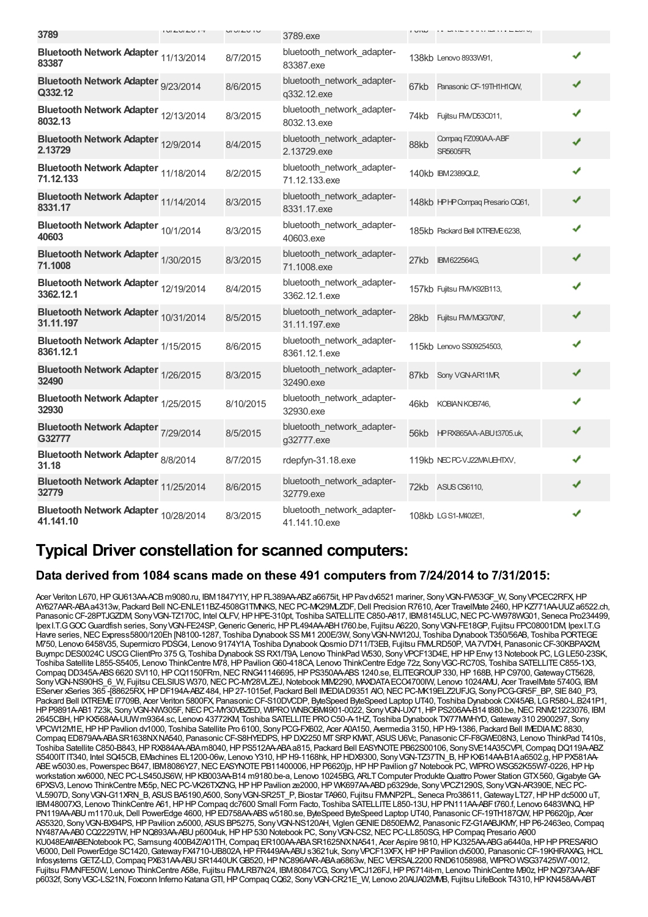| 3789                                              | $1 \cup I \subseteq \bigcup \{L \cup L \cup L + \top$ | $U1U1U1U$ | 3789.exe                                    | <b>I VIW</b> |                                       |   |
|---------------------------------------------------|-------------------------------------------------------|-----------|---------------------------------------------|--------------|---------------------------------------|---|
| Bluetooth Network Adapter 11/13/2014<br>83387     |                                                       | 8/7/2015  | bluetooth_network_adapter-<br>83387.exe     |              | 138kb Lenovo 8933W91,                 | ✔ |
| Bluetooth Network Adapter 9/23/2014<br>Q332.12    |                                                       | 8/6/2015  | bluetooth_network_adapter-<br>q332.12.exe   | 67kb         | Panasonic CF-19TH1H1QW,               | ✔ |
| Bluetooth Network Adapter 12/13/2014<br>8032.13   |                                                       | 8/3/2015  | bluetooth_network_adapter-<br>8032.13.exe   | 74kb         | Fujitsu FMVD53C011,                   | ✔ |
| Bluetooth Network Adapter 12/9/2014<br>2.13729    |                                                       | 8/4/2015  | bluetooth_network_adapter-<br>2.13729.exe   | 88kb         | Compag FZ090AA-ABF<br><b>SR5605FR</b> | ✔ |
| Bluetooth Network Adapter 11/18/2014<br>71.12.133 |                                                       | 8/2/2015  | bluetooth_network_adapter-<br>71.12.133.exe |              | 140kb IBM2389QU2.                     | ✔ |
| Bluetooth Network Adapter 11/14/2014<br>8331.17   |                                                       | 8/3/2015  | bluetooth_network_adapter-<br>8331.17.exe   |              | 148kb I-PI-P Compaq Presario CQ61,    | ✔ |
| Bluetooth Network Adapter 10/1/2014<br>40603      |                                                       | 8/3/2015  | bluetooth_network_adapter-<br>40603.exe     |              | 185kb Packard Bell IXTREME 6238,      | ✔ |
| Bluetooth Network Adapter 1/30/2015<br>71.1008    |                                                       | 8/3/2015  | bluetooth_network_adapter-<br>71.1008.exe   |              | 27kb IBM622564G,                      | ✔ |
| Bluetooth Network Adapter 12/19/2014<br>3362.12.1 |                                                       | 8/4/2015  | bluetooth_network_adapter-<br>3362.12.1.exe |              | 157kb Fujitsu FMVK92B113,             | ✔ |
| Bluetooth Network Adapter 10/31/2014<br>31.11.197 |                                                       | 8/5/2015  | bluetooth network adapter-<br>31.11.197.exe | 28kb         | Fujitsu FMVMGG70N7,                   | ✔ |
| Bluetooth Network Adapter 1/15/2015<br>8361.12.1  |                                                       | 8/6/2015  | bluetooth network adapter-<br>8361.12.1.exe |              | 115kb Lenovo SS09254503,              | ✔ |
| Bluetooth Network Adapter 1/26/2015<br>32490      |                                                       | 8/3/2015  | bluetooth network adapter-<br>32490.exe     |              | 87kb Sony VGN-AR11MR,                 | ✔ |
| Bluetooth Network Adapter 1/25/2015<br>32930      |                                                       | 8/10/2015 | bluetooth network adapter-<br>32930.exe     | 46kb         | KOBIAN KOB746,                        | ✔ |
| Bluetooth Network Adapter 7/29/2014<br>G32777     |                                                       | 8/5/2015  | bluetooth_network_adapter-<br>g32777.exe    |              | 56kb HPRX865AA-ABUt3705.uk,           | ✔ |
| Bluetooth Network Adapter 8/8/2014<br>31.18       |                                                       | 8/7/2015  | rdepfyn-31.18.exe                           |              | 119kb NECPC-VJ22MAUEHTXV,             | ✔ |
| Bluetooth Network Adapter 11/25/2014<br>32779     |                                                       | 8/6/2015  | bluetooth_network_adapter-<br>32779.exe     |              | 72kb ASUS CS6110,                     | ✔ |
| Bluetooth Network Adapter 10/28/2014<br>41.141.10 |                                                       | 8/3/2015  | bluetooth network adapter-<br>41.141.10.exe |              | 108kb LGS1-M402E1,                    | ✔ |

## **Typical Driver constellation for scanned computers:**

### **Data derived from 1084 scans made on these 491 computers from 7/24/2014 to 7/31/2015:**

Acer Veriton L670, HP GU613AA-ACB m9080.ru, IBM1847Y1Y, HP FL389AA-ABZ a6675it, HP Pavdv6521 mariner, Sony VGN-FW53GF\_W, Sony VPCEC2RFX, HP AY627AAR-ABAa4313w, Packard Bell NC-ENLE11BZ-4508G1TMNKS, NEC PC-MK29MLZDF, Dell Precision R7610, Acer TravelMate 2460, HP KZ771AA-UUZa6522.ch, Panasonic CF-28PTJGZDM, Sony VGN-TZ170C, Intel OLFV, HP HPE-310pt, Toshiba SATELLITE C850-A817, IBM8145LUC, NEC PC-VW978WG01, Seneca Pro234499, IpexI.T.GGOC Guardfish series, Sony VGN-FE24SP, Generic Generic, HP PL494AA-ABHt760.be, Fujitsu A6220, Sony VGN-FE18GP, Fujitsu FPC08001DM, Ipex I.T.G Havre series,NECExpress5800/120Eh [N8100-1287, Toshiba Dynabook SSM41 200E/3W, SonyVGN-NW120J, Toshiba Dynabook T350/56AB, Toshiba PORTEGE M750, Lenovo 6458V35, Supermicro PDSG4, Lenovo 9174Y1A, Toshiba Dynabook Qosmio D711/T3EB, Fujitsu FMMLRD50P, VIA7VTXH, Panasonic CF-30KBPAX2M, Buympc DES0024C USCG ClientPro 375 G, Toshiba Dynabook SS RX1/T9A Lenovo ThinkPad W530, Sony VPCF13D4E, HP HP Envy 13 Notebook PC, LG LE50-23SK, Toshiba Satellite L855-S5405, Lenovo ThinkCentre M78, HP Pavilion G60-418CA, Lenovo ThinkCentre Edge 72z, Sony VGC-RC70S, Toshiba SATELLITE C855-1X3, Compaq DD345A-ABS 6620 SV110, HP CQ1150FRm, NEC RNG41146695, HP PS350AA-ABS 1240.se, ELITEGROUP 330, HP 168B, HP C9700, Gateway CT5628, Sony VGN-NS90HS\_6\_W, Fujitsu CELSIUS W370, NEC PC-MY28VLZEJ, Notebook MIM2290, MAXDATA ECO4700IW, Lenovo 1024AMU, Acer TravelMate 5740G, IBM EServer xSeries 365 -[88625RX,HPDF194A-ABZ484,HP27-1015ef, Packard Bell IMEDIAD9351 AIO,NECPC-MK19ELZ2UFJG, SonyPCG-GR5F\_BP, SIE840\_P3, Packard Bell IXTREME I7709B, Acer Veriton 5800FX, Panasonic CF-S10DVCDP, ByteSpeed ByteSpeed Laptop UT40, Toshiba Dynabook CX/45AB, LG R580-L.B241P1, HPP9891A-AB1 723k, SonyVGN-NW305F,NECPC-MY30VBZED, WIPROWNBOBM4901-0022, SonyVGN-UX71,HPPS206AA-B14 t880.be,NECRNM21223076, IBM 2645CBH,HPKX568AA-UUWm9364.sc, Lenovo 43772KM, Toshiba SATELLITEPROC50-A-1HZ, Toshiba Dynabook TX/77MWHYD,Gateway310 2900297, Sony VPCW12M1E,HPHPPavilion dv1000, Toshiba Satellite Pro 6100, SonyPCG-FX602, Acer A0A150, Avermedia 3150,HPH9-1386, Packard Bell IMEDIAMC8830, Compaq ED879AA-ABA SR1638NXNA540, Panasonic CF-S8HYEDPS, HP DX2250 MT SRP KMAT, ASUS U6Vc, Panasonic CF-F8GWE08N3, Lenovo ThinkPad T410s, Toshiba Satellite C850-B843, HP RX884AA-ABAm8040, HP PS512AA-ABA a815, Packard Bell EASYNOTE PB62S00106, Sony SVE14A35CVPI, Compaq DQ119A-ABZ S5400IT IT340, Intel SQ45CB, EMachines EL1200-06w, Lenovo Y310, HP H9-1168hk, HP HDX9300, Sony VGN-TZ37TN\_B, HP KX614AA-B1Aa6502.g, HP PX581AA-ABE w5030.es, Powerspec B647, IBM8086Y27, NEC EASYNOTE PB11400006, HP P6620jp, HP HP Pavilion g7 Notebook PC, WIPRO WSG52K55W7-0226, HP Hp workstation xw6000, NEC PC-LS450JS6W, HP KB003AA-B14 m9180.be-a, Lenovo 10245BG, ARLT Computer Produkte Quattro Power Station GTX 560, Gigabyte GA-6PXSV3, Lenovo ThinkCentre M55p, NEC PC-VK26TXZNG, HP HP Pavilion ze2000, HP WK697AA-ABD p6329de, Sony VPCZ1290S, Sony VGN-AR390E, NEC PC VL5907D, SonyVGN-G11XRN\_B, ASUSBA5190,A500, SonyVGN-SR25T\_P, Biostar TA960, Fujitsu FMVNP2PL, Seneca Pro38611,GatewayLT27,HPHPdc5000 uT, IBM48007X3, Lenovo ThinkCentre A61,HPHPCompaq dc7600 Small Form Facto, Toshiba SATELLITEL850-13U,HPPN111AA-ABFt760.f, Lenovo 6483WNQ,HP PN119AA-ABU m1170.uk, Dell PowerEdge 4600, HP ED758AA-ABS w5180.se, ByteSpeed ByteSpeed Laptop UT40, Panasonic CF-19TH187QW, HP P6620jp, Acer AS5320, Sony VGN-BX94PS, HP Pavilion zx5000, ASUS BP5275, Sony VGN-NS120AH, Viglen GENIE D850EM/2, Panasonic FZ-G1AABJKMY, HP P6-2463eo, Compaq NY487AA-AB0 CQ2229TW,HPNQ893AA-ABUp6004uk,HPHP530 Notebook PC, SonyVGN-CS2,NECPC-LL850SG,HPCompaq Presario A900 KU048EA#ABENotebook PC, Samsung 400B4Z/A01TH, Compaq ER100AA-ABA SR1625NX NA541, Acer Aspire 9810, HP KJ325AA-ABG a6440a, HP HP PRESARIO V6000,Dell PowerEdge SC1420,GatewayFX4710-UB802A,HPFR449AA-ABUs3621uk, SonyVPCF13XFX,HPHPPavilion dv5000, PanasonicCF-19KHRAXAG,HCL Infosystems GETZ-LD, Compaq PX631AA-ABU SR1440UK GB520, HP NC896AAR-ABA a6863w, NEC VERSAL2200 RND61058988, WIPRO WSG37425W7-0012, Fujitsu FMMVFE50W, Lenovo ThinkCentre A58e, Fujitsu FMLRB7N24, IBM80847CG, Sony VPCJ126FJ, HP P6714it-m, Lenovo ThinkCentre M90z, HP NQ973AA-ABF p6032f, Sony VGC-LS21N, Foxconn Inferno Katana GTI, HP Compaq CQ62, Sony VGN-CR21E\_W, Lenovo 20AUA02MMB, Fujitsu LifeBook T4310, HP KN458AA-ABT